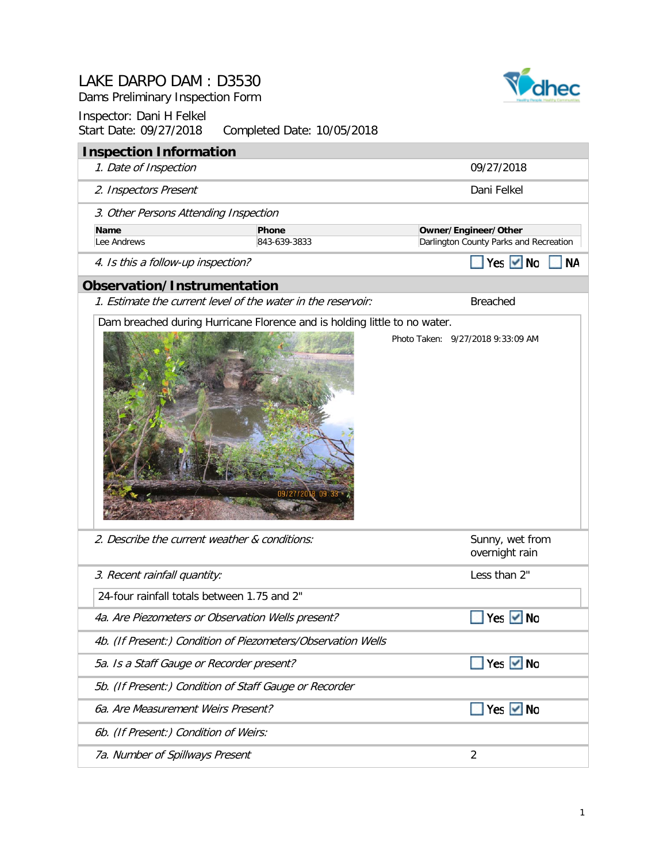Dams Preliminary Inspection Form

#### Inspector: Dani H Felkel Start Date: 09/27/2018 Completed Date: 10/05/2018



6b. (If Present:) Condition of Weirs:

7a. Number of Spillways Present 2

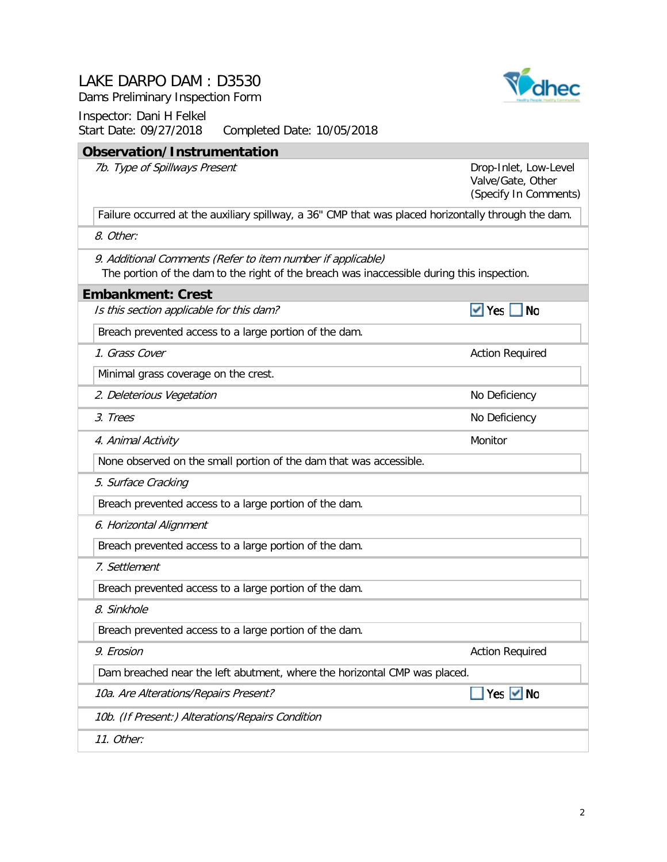Dams Preliminary Inspection Form

Inspector: Dani H Felkel Start Date: 09/27/2018 Completed Date: 10/05/2018

#### **Observation/Instrumentation**

7b. Type of Spillways Present

Drop-Inlet, Low-Level Valve/Gate, Other (Specify In Comments)

 $\blacktriangledown$  Yes  $\Box$  No

Yes V No

Failure occurred at the auxiliary spillway, a 36" CMP that was placed horizontally through the dam.

8. Other:

9. Additional Comments (Refer to item number if applicable)

The portion of the dam to the right of the breach was inaccessible during this inspection.

|  | <b>Embankment: Crest</b> |  |  |
|--|--------------------------|--|--|
|  |                          |  |  |

Is this section applicable for this dam?

Breach prevented access to a large portion of the dam.

**1. Grass Cover Cover Action Required Cover Action Required** 

Minimal grass coverage on the crest.

2. Deleterious Vegetation 2. Deleterious Vegetation

3. Trees No Deficiency

4. Animal Activity **Monitor** Monitor **Monitor** Monitor **Monitor** Monitor

None observed on the small portion of the dam that was accessible.

5. Surface Cracking

Breach prevented access to a large portion of the dam.

6. Horizontal Alignment

Breach prevented access to a large portion of the dam.

7. Settlement

Breach prevented access to a large portion of the dam.

8. Sinkhole

Breach prevented access to a large portion of the dam.

9. Erosion Action Required Action Required

Dam breached near the left abutment, where the horizontal CMP was placed.

10a. Are Alterations/Repairs Present?

10b. (If Present:) Alterations/Repairs Condition

11. Other:

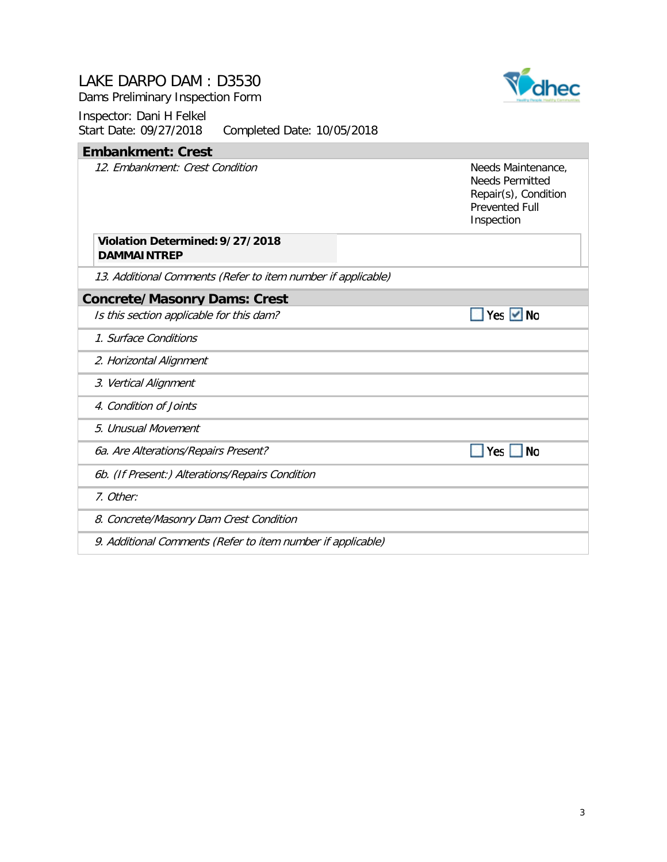Dams Preliminary Inspection Form



| <b>Embankment: Crest</b>                                     |                                                                                                             |
|--------------------------------------------------------------|-------------------------------------------------------------------------------------------------------------|
| 12. Embankment: Crest Condition                              | Needs Maintenance,<br><b>Needs Permitted</b><br>Repair(s), Condition<br><b>Prevented Full</b><br>Inspection |
| Violation Determined: 9/27/2018<br><b>DAMMAINTREP</b>        |                                                                                                             |
| 13. Additional Comments (Refer to item number if applicable) |                                                                                                             |
| <b>Concrete/Masonry Dams: Crest</b>                          |                                                                                                             |
| Is this section applicable for this dam?                     | Yes $\vee$ No                                                                                               |
| 1. Surface Conditions                                        |                                                                                                             |
| 2. Horizontal Alignment                                      |                                                                                                             |
| 3. Vertical Alignment                                        |                                                                                                             |
| 4. Condition of Joints                                       |                                                                                                             |
| 5. Unusual Movement                                          |                                                                                                             |
| 6a. Are Alterations/Repairs Present?                         | <b>No</b><br>Yes                                                                                            |
| 6b. (If Present:) Alterations/Repairs Condition              |                                                                                                             |
| 7. Other:                                                    |                                                                                                             |
| 8. Concrete/Masonry Dam Crest Condition                      |                                                                                                             |
| 9. Additional Comments (Refer to item number if applicable)  |                                                                                                             |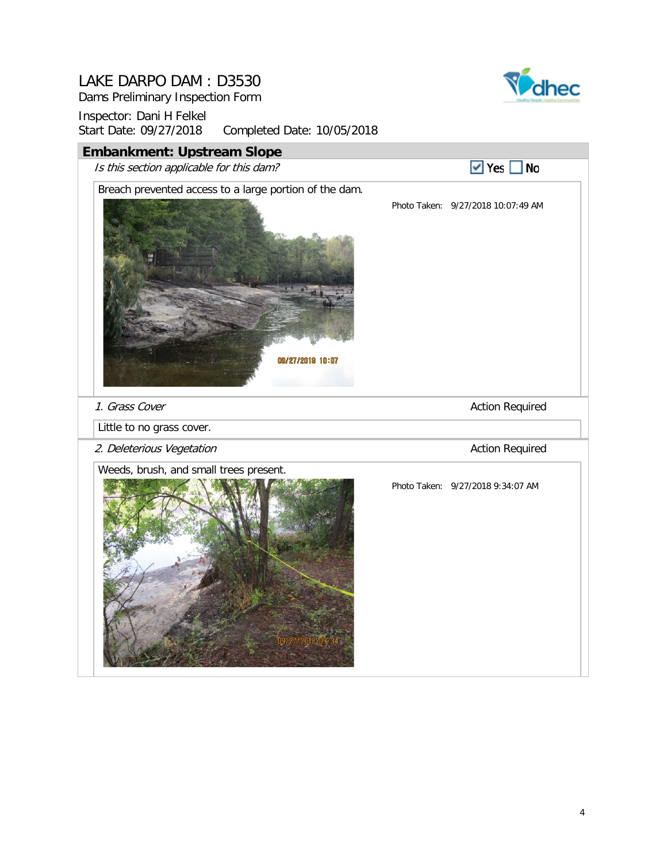Dams Preliminary Inspection Form



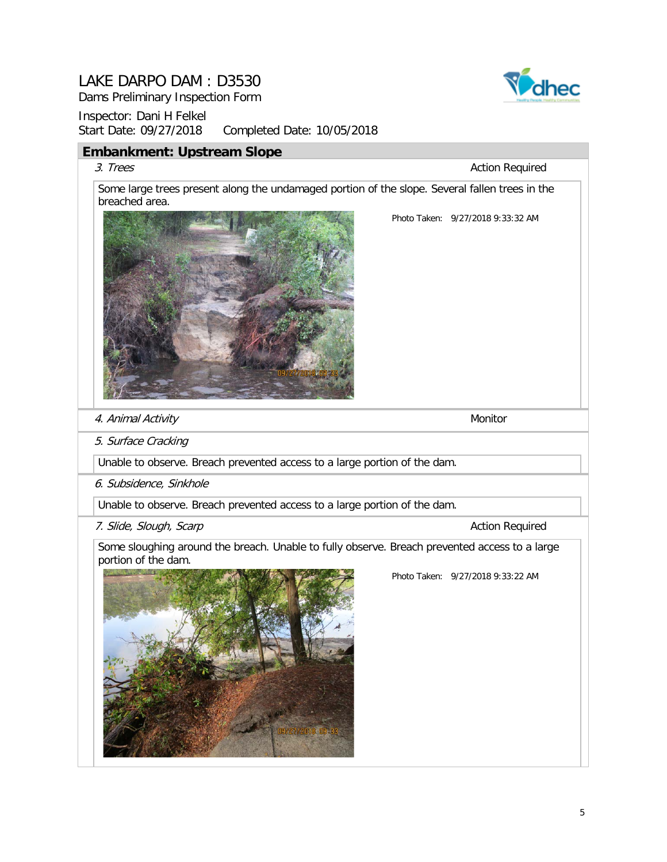Dams Preliminary Inspection Form

Inspector: Dani H Felkel Start Date: 09/27/2018 Completed Date: 10/05/2018

#### **Embankment: Upstream Slope**

#### 3. Trees Action Required

Some large trees present along the undamaged portion of the slope. Several fallen trees in the breached area.



Vdhec

Photo Taken: 9/27/2018 9:33:32 AM

4. Animal Activity Monitor Animal Activity

5. Surface Cracking

Unable to observe. Breach prevented access to a large portion of the dam.

6. Subsidence, Sinkhole

Unable to observe. Breach prevented access to a large portion of the dam.

7. Slide, Slough, Scarp Action Required Action Required

Some sloughing around the breach. Unable to fully observe. Breach prevented access to a large portion of the dam.



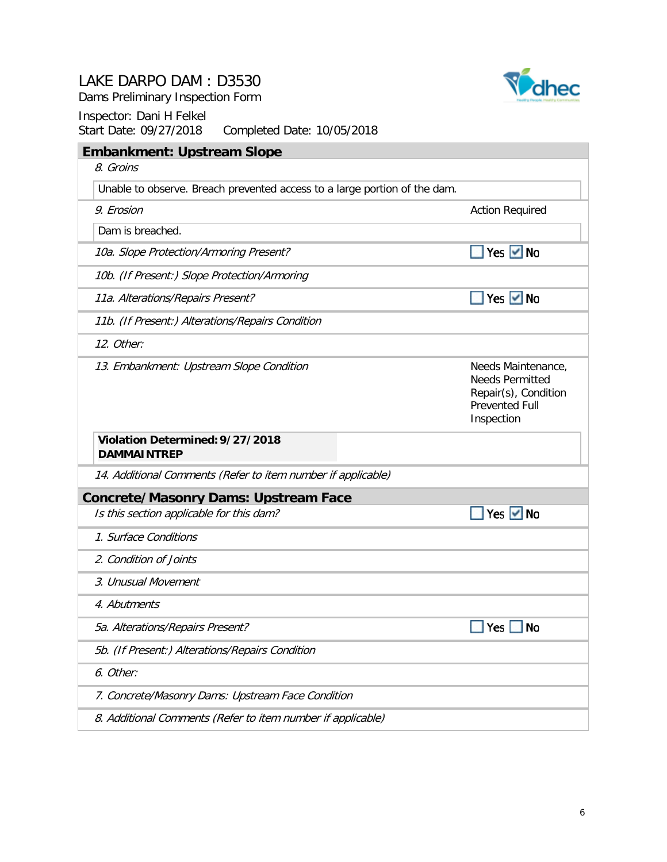

Dams Preliminary Inspection Form

| <b>Embankment: Upstream Slope</b>                                         |                                                                                                             |
|---------------------------------------------------------------------------|-------------------------------------------------------------------------------------------------------------|
| 8. Groins                                                                 |                                                                                                             |
| Unable to observe. Breach prevented access to a large portion of the dam. |                                                                                                             |
| 9. Erosion                                                                | <b>Action Required</b>                                                                                      |
| Dam is breached.                                                          |                                                                                                             |
| 10a. Slope Protection/Armoring Present?                                   | Yes Mo                                                                                                      |
| 10b. (If Present:) Slope Protection/Armoring                              |                                                                                                             |
| 11a. Alterations/Repairs Present?                                         | $\blacksquare$ Yes $\blacksquare$ No                                                                        |
| 11b. (If Present:) Alterations/Repairs Condition                          |                                                                                                             |
| 12. Other:                                                                |                                                                                                             |
| 13. Embankment: Upstream Slope Condition                                  | Needs Maintenance,<br><b>Needs Permitted</b><br>Repair(s), Condition<br><b>Prevented Full</b><br>Inspection |
| Violation Determined: 9/27/2018<br><b>DAMMAINTREP</b>                     |                                                                                                             |
| 14. Additional Comments (Refer to item number if applicable)              |                                                                                                             |
| <b>Concrete/Masonry Dams: Upstream Face</b>                               |                                                                                                             |
| Is this section applicable for this dam?                                  | Yes $\vee$ No                                                                                               |
| 1. Surface Conditions                                                     |                                                                                                             |
| 2. Condition of Joints                                                    |                                                                                                             |
| 3. Unusual Movement                                                       |                                                                                                             |
| 4. Abutments                                                              |                                                                                                             |
| 5a. Alterations/Repairs Present?                                          | Yes<br><b>No</b>                                                                                            |
| 5b. (If Present:) Alterations/Repairs Condition                           |                                                                                                             |
| 6. Other:                                                                 |                                                                                                             |
| 7. Concrete/Masonry Dams: Upstream Face Condition                         |                                                                                                             |
| 8. Additional Comments (Refer to item number if applicable)               |                                                                                                             |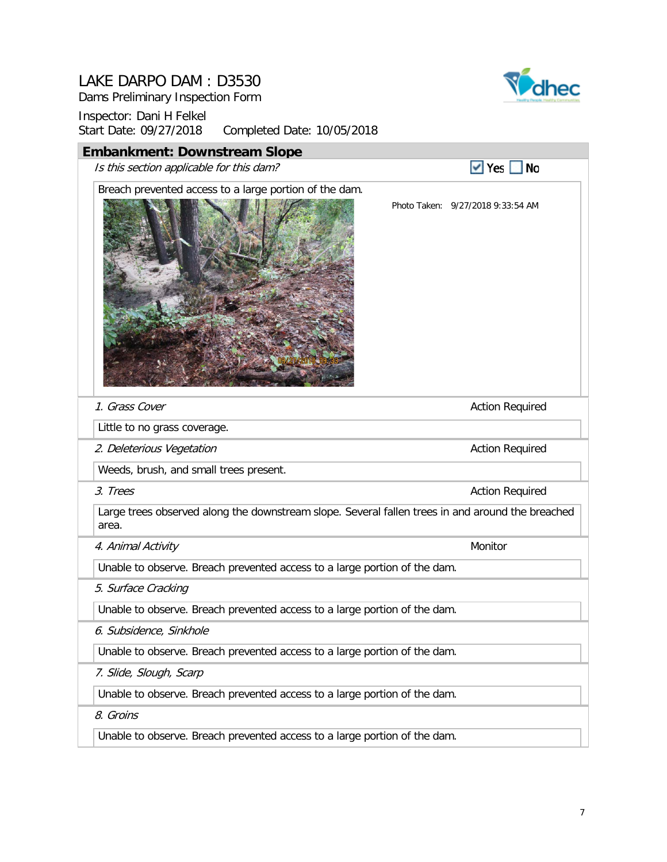Dams Preliminary Inspection Form



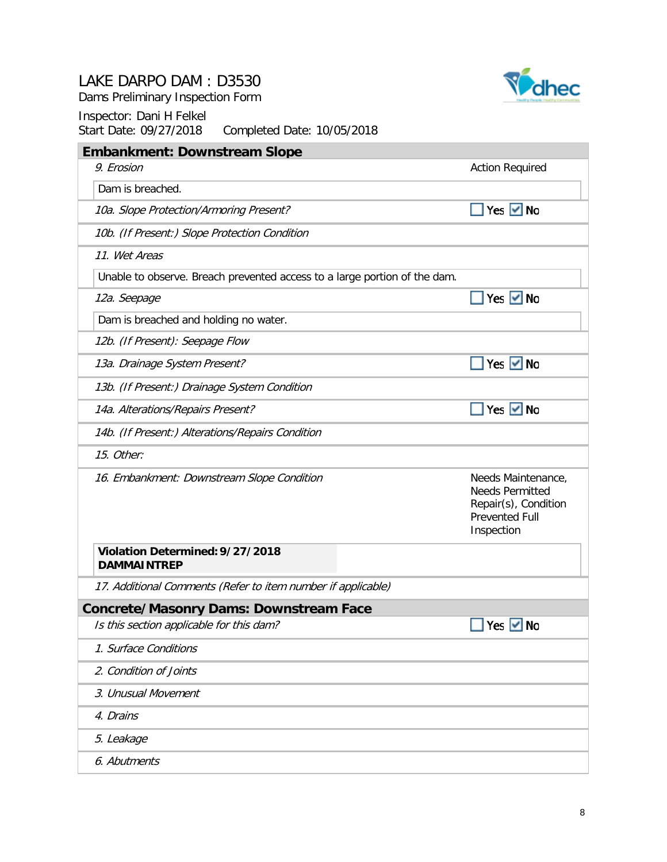Dams Preliminary Inspection Form



| <b>Embankment: Downstream Slope</b>                                       |                                                                                                             |
|---------------------------------------------------------------------------|-------------------------------------------------------------------------------------------------------------|
| 9. Erosion                                                                | <b>Action Required</b>                                                                                      |
| Dam is breached.                                                          |                                                                                                             |
| 10a. Slope Protection/Armoring Present?                                   | Yes $\vee$ No                                                                                               |
| 10b. (If Present:) Slope Protection Condition                             |                                                                                                             |
| 11. Wet Areas                                                             |                                                                                                             |
| Unable to observe. Breach prevented access to a large portion of the dam. |                                                                                                             |
| 12a. Seepage                                                              | Yes $\vee$ No                                                                                               |
| Dam is breached and holding no water.                                     |                                                                                                             |
| 12b. (If Present): Seepage Flow                                           |                                                                                                             |
| 13a. Drainage System Present?                                             | Yes $\vee$ No                                                                                               |
| 13b. (If Present:) Drainage System Condition                              |                                                                                                             |
| 14a. Alterations/Repairs Present?                                         | Yes $\vee$ No                                                                                               |
| 14b. (If Present:) Alterations/Repairs Condition                          |                                                                                                             |
| 15. Other:                                                                |                                                                                                             |
| 16. Embankment: Downstream Slope Condition                                | Needs Maintenance,<br><b>Needs Permitted</b><br>Repair(s), Condition<br><b>Prevented Full</b><br>Inspection |
| Violation Determined: 9/27/2018<br><b>DAMMAINTREP</b>                     |                                                                                                             |
| 17. Additional Comments (Refer to item number if applicable)              |                                                                                                             |
| <b>Concrete/Masonry Dams: Downstream Face</b>                             |                                                                                                             |
| Is this section applicable for this dam?                                  | Yes V No                                                                                                    |
| 1. Surface Conditions                                                     |                                                                                                             |
| 2. Condition of Joints                                                    |                                                                                                             |
| 3. Unusual Movement                                                       |                                                                                                             |
| 4. Drains                                                                 |                                                                                                             |
| 5. Leakage                                                                |                                                                                                             |
| 6. Abutments                                                              |                                                                                                             |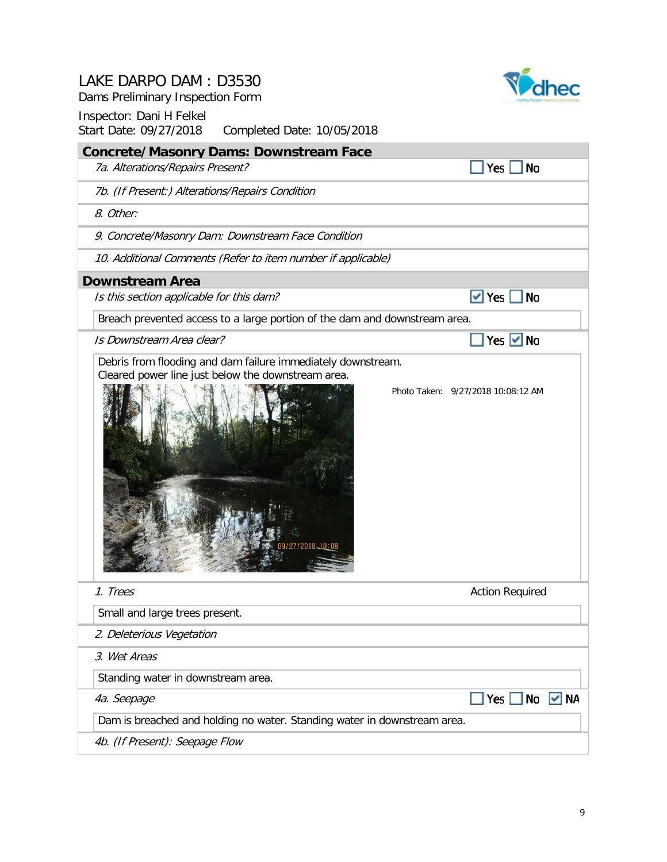Dams Preliminary Inspection Form



| <b>Concrete/Masonry Dams: Downstream Face</b>                                                                      |                                    |
|--------------------------------------------------------------------------------------------------------------------|------------------------------------|
| 7a. Alterations/Repairs Present?                                                                                   | Yes No                             |
| 7b. (If Present:) Alterations/Repairs Condition                                                                    |                                    |
| 8. Other:                                                                                                          |                                    |
| 9. Concrete/Masonry Dam: Downstream Face Condition                                                                 |                                    |
| 10. Additional Comments (Refer to item number if applicable)                                                       |                                    |
| <b>Downstream Area</b>                                                                                             |                                    |
| Is this section applicable for this dam?                                                                           | $\vee$ Yes<br>$\blacksquare$       |
| Breach prevented access to a large portion of the dam and downstream area.                                         |                                    |
| Is Downstream Area clear?                                                                                          | Yes <del>V</del> No                |
| Debris from flooding and dam failure immediately downstream.<br>Cleared power line just below the downstream area. |                                    |
|                                                                                                                    | Photo Taken: 9/27/2018 10:08:12 AM |
| 1. Trees                                                                                                           | <b>Action Required</b>             |
| Small and large trees present.                                                                                     |                                    |
| 2. Deleterious Vegetation                                                                                          |                                    |
| 3. Wet Areas                                                                                                       |                                    |
| Standing water in downstream area.                                                                                 |                                    |
| 4a. Seepage                                                                                                        | $\vee$ NA<br>$Yes \tN$<br>٠        |
| Dam is breached and holding no water. Standing water in downstream area.                                           |                                    |
| 4b. (If Present): Seepage Flow                                                                                     |                                    |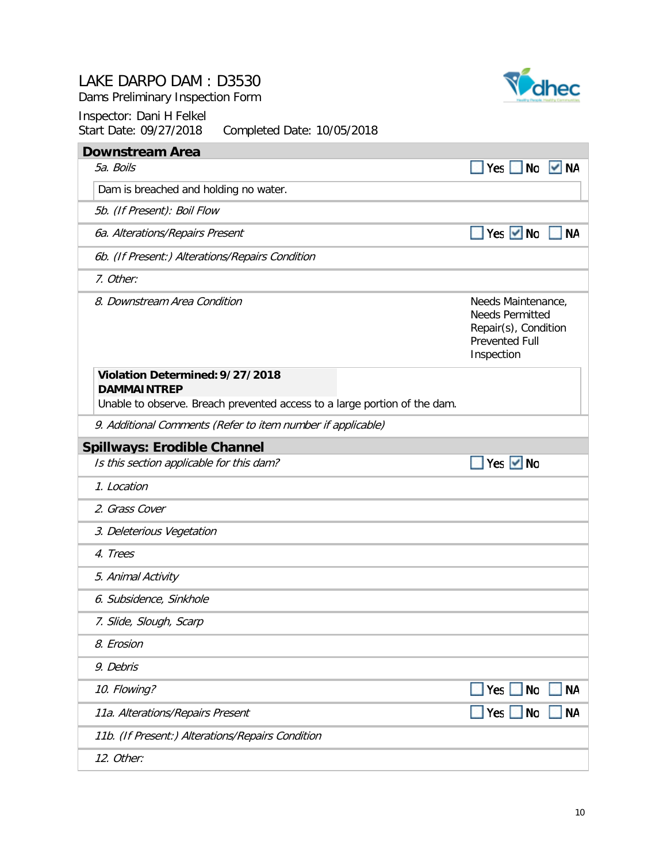Dams Preliminary Inspection Form



| <b>Downstream Area</b>                                                    |                                                                                                             |
|---------------------------------------------------------------------------|-------------------------------------------------------------------------------------------------------------|
| 5a. Boils                                                                 | Yes $\Box$<br>No<br>ΝA                                                                                      |
| Dam is breached and holding no water.                                     |                                                                                                             |
| 5b. (If Present): Boil Flow                                               |                                                                                                             |
| 6a. Alterations/Repairs Present                                           | Yes ØNo<br><b>NA</b>                                                                                        |
| 6b. (If Present:) Alterations/Repairs Condition                           |                                                                                                             |
| 7. Other:                                                                 |                                                                                                             |
| 8. Downstream Area Condition                                              | Needs Maintenance,<br><b>Needs Permitted</b><br>Repair(s), Condition<br><b>Prevented Full</b><br>Inspection |
| Violation Determined: 9/27/2018<br><b>DAMMAINTREP</b>                     |                                                                                                             |
| Unable to observe. Breach prevented access to a large portion of the dam. |                                                                                                             |
| 9. Additional Comments (Refer to item number if applicable)               |                                                                                                             |
| <b>Spillways: Erodible Channel</b>                                        |                                                                                                             |
| Is this section applicable for this dam?                                  | Yes $\vee$ No                                                                                               |
| 1. Location                                                               |                                                                                                             |
| 2. Grass Cover                                                            |                                                                                                             |
| 3. Deleterious Vegetation                                                 |                                                                                                             |
| 4. Trees                                                                  |                                                                                                             |
| 5. Animal Activity                                                        |                                                                                                             |
| 6. Subsidence, Sinkhole                                                   |                                                                                                             |
| 7. Slide, Slough, Scarp                                                   |                                                                                                             |
| 8. Erosion                                                                |                                                                                                             |
| 9. Debris                                                                 |                                                                                                             |
| 10. Flowing?                                                              | Yes $ $<br><b>No</b><br><b>NA</b>                                                                           |
| 11a. Alterations/Repairs Present                                          | <b>NA</b><br>Yes  <br>No                                                                                    |
| 11b. (If Present:) Alterations/Repairs Condition                          |                                                                                                             |
| 12. Other:                                                                |                                                                                                             |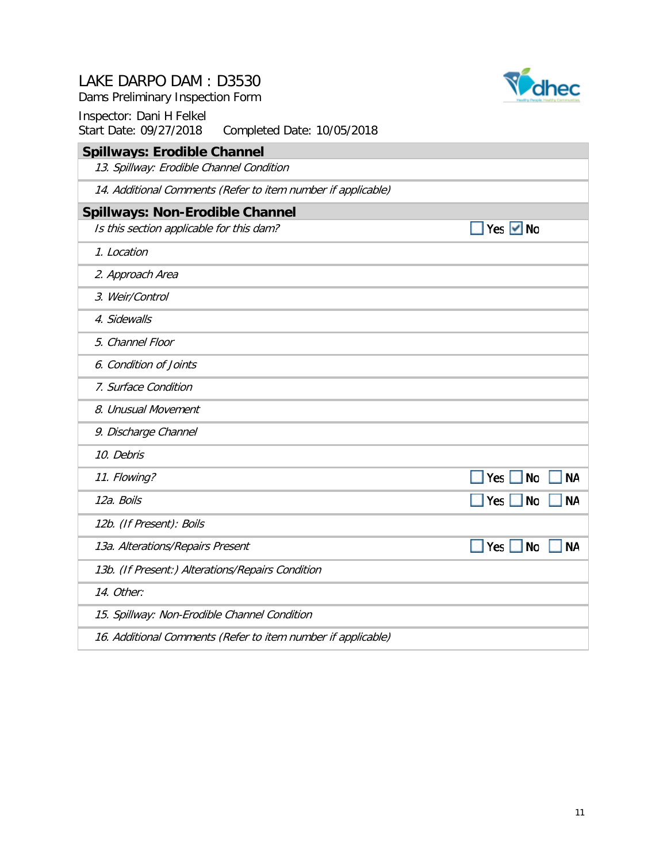Dams Preliminary Inspection Form



| <b>Spillways: Erodible Channel</b>                           |                               |
|--------------------------------------------------------------|-------------------------------|
| 13. Spillway: Erodible Channel Condition                     |                               |
| 14. Additional Comments (Refer to item number if applicable) |                               |
| <b>Spillways: Non-Erodible Channel</b>                       |                               |
| Is this section applicable for this dam?                     | Yes $\vee$ No                 |
| 1. Location                                                  |                               |
| 2. Approach Area                                             |                               |
| 3. Weir/Control                                              |                               |
| 4. Sidewalls                                                 |                               |
| 5. Channel Floor                                             |                               |
| 6. Condition of Joints                                       |                               |
| 7. Surface Condition                                         |                               |
| 8. Unusual Movement                                          |                               |
| 9. Discharge Channel                                         |                               |
| 10. Debris                                                   |                               |
| 11. Flowing?                                                 | Yes<br><b>No</b><br><b>NA</b> |
| 12a. Boils                                                   | <b>NA</b><br>Yes<br><b>No</b> |
| 12b. (If Present): Boils                                     |                               |
| 13a. Alterations/Repairs Present                             | Yes<br><b>No</b><br><b>NA</b> |
| 13b. (If Present:) Alterations/Repairs Condition             |                               |
| 14. Other:                                                   |                               |
| 15. Spillway: Non-Erodible Channel Condition                 |                               |
| 16. Additional Comments (Refer to item number if applicable) |                               |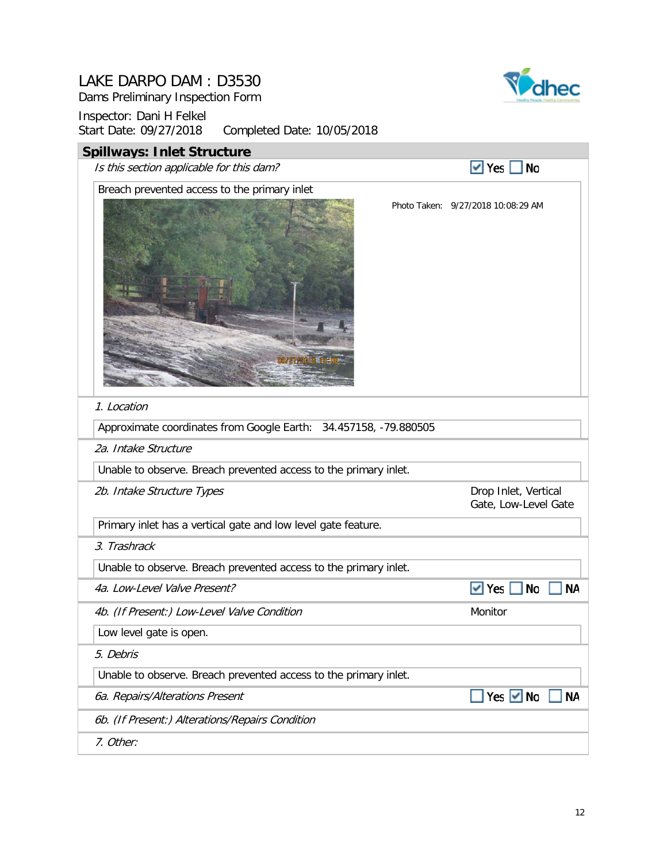Dams Preliminary Inspection Form



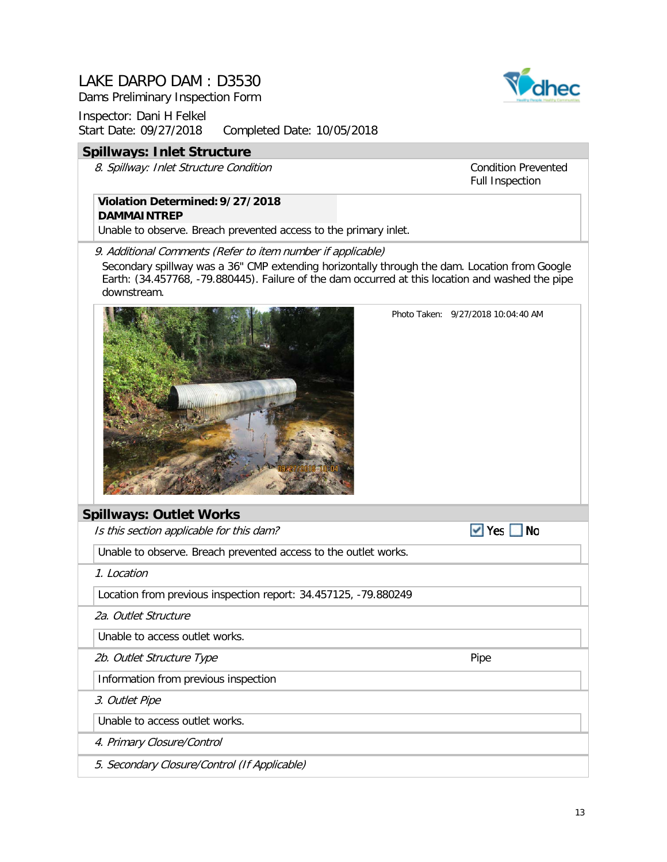Dams Preliminary Inspection Form

Inspector: Dani H Felkel Start Date: 09/27/2018 Completed Date: 10/05/2018

#### **Spillways: Inlet Structure**

8. Spillway: Inlet Structure Condition

Condition Prevented Full Inspection

## **Violation Determined:9/27/2018**

**DAMMAINTREP**

Unable to observe. Breach prevented access to the primary inlet.

9. Additional Comments (Refer to item number if applicable)

Secondary spillway was a 36" CMP extending horizontally through the dam. Location from Google Earth: (34.457768, -79.880445). Failure of the dam occurred at this location and washed the pipe downstream.



Photo Taken: 9/27/2018 10:04:40 AM

#### **Spillways: Outlet Works**

 $\blacktriangledown$  Yes  $\Box$  No Is this section applicable for this dam? Unable to observe. Breach prevented access to the outlet works. 1. Location Location from previous inspection report: 34.457125, -79.880249 2a. Outlet Structure Unable to access outlet works. 2b. Outlet Structure Type **Pipe** Pipe Information from previous inspection 3. Outlet Pipe Unable to access outlet works. 4. Primary Closure/Control 5. Secondary Closure/Control (If Applicable)

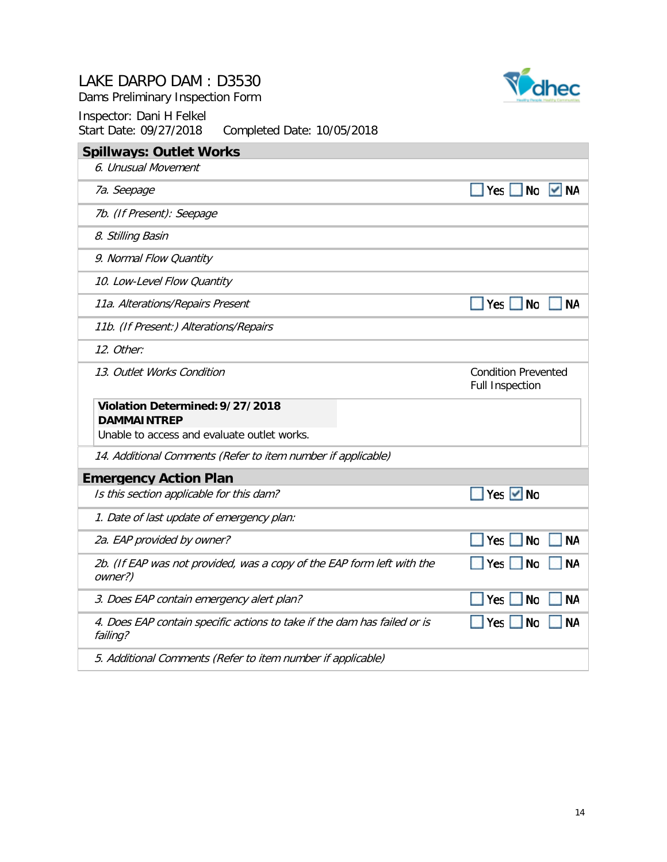| Inspector: Dani H Felkel<br>Start Date: 09/27/2018<br>Completed Date: 10/05/2018     |                                                      |  |  |
|--------------------------------------------------------------------------------------|------------------------------------------------------|--|--|
| <b>Spillways: Outlet Works</b>                                                       |                                                      |  |  |
| 6. Unusual Movement                                                                  |                                                      |  |  |
| 7a. Seepage                                                                          | TYes No V NA                                         |  |  |
| 7b. (If Present): Seepage                                                            |                                                      |  |  |
| 8. Stilling Basin                                                                    |                                                      |  |  |
| 9. Normal Flow Quantity                                                              |                                                      |  |  |
| 10. Low-Level Flow Quantity                                                          |                                                      |  |  |
| 11a. Alterations/Repairs Present                                                     | Yes $\Box$<br>  No<br>ΝA                             |  |  |
| 11b. (If Present:) Alterations/Repairs                                               |                                                      |  |  |
| 12. Other:                                                                           |                                                      |  |  |
| 13. Outlet Works Condition                                                           | <b>Condition Prevented</b><br><b>Full Inspection</b> |  |  |
| Violation Determined: 9/27/2018<br><b>DAMMAINTREP</b>                                |                                                      |  |  |
| Unable to access and evaluate outlet works.                                          |                                                      |  |  |
| 14. Additional Comments (Refer to item number if applicable)                         |                                                      |  |  |
| <b>Emergency Action Plan</b>                                                         |                                                      |  |  |
| Is this section applicable for this dam?                                             | Yes $\vee$ No                                        |  |  |
| 1. Date of last update of emergency plan:                                            |                                                      |  |  |
| 2a. EAP provided by owner?                                                           | Yes<br><b>No</b><br><b>NA</b>                        |  |  |
| 2b. (If EAP was not provided, was a copy of the EAP form left with the<br>owner?)    | Yes $\vert$<br><b>No</b><br><b>NA</b>                |  |  |
| 3. Does EAP contain emergency alert plan?                                            | <b>No</b><br><b>NA</b><br>Yes $ $                    |  |  |
| 4. Does EAP contain specific actions to take if the dam has failed or is<br>failing? | <b>No</b><br><b>NA</b><br>Yes                        |  |  |
| 5. Additional Comments (Refer to item number if applicable)                          |                                                      |  |  |

Dams Preliminary Inspection Form

## Inspector: Dani H Felkel

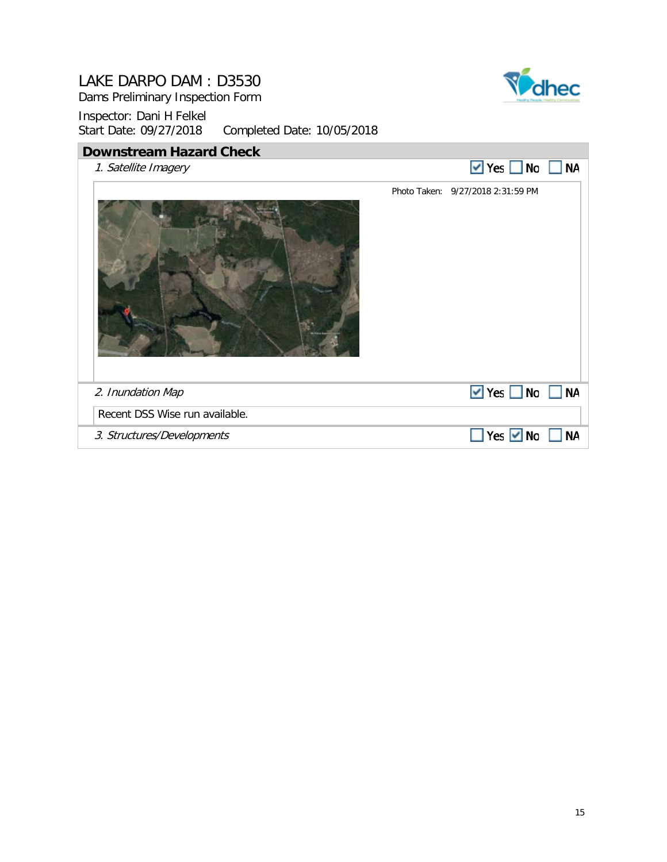Dams Preliminary Inspection Form



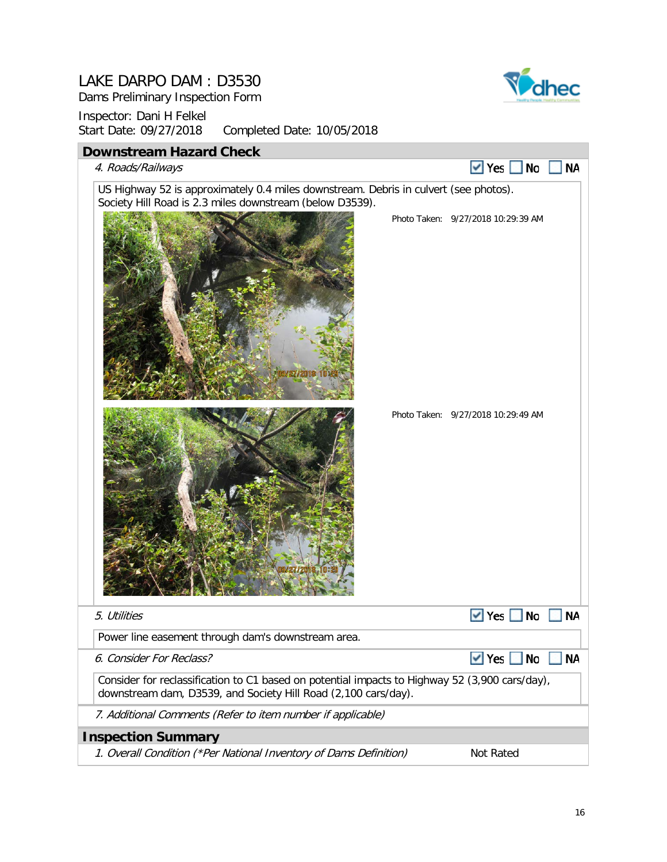Dams Preliminary Inspection Form



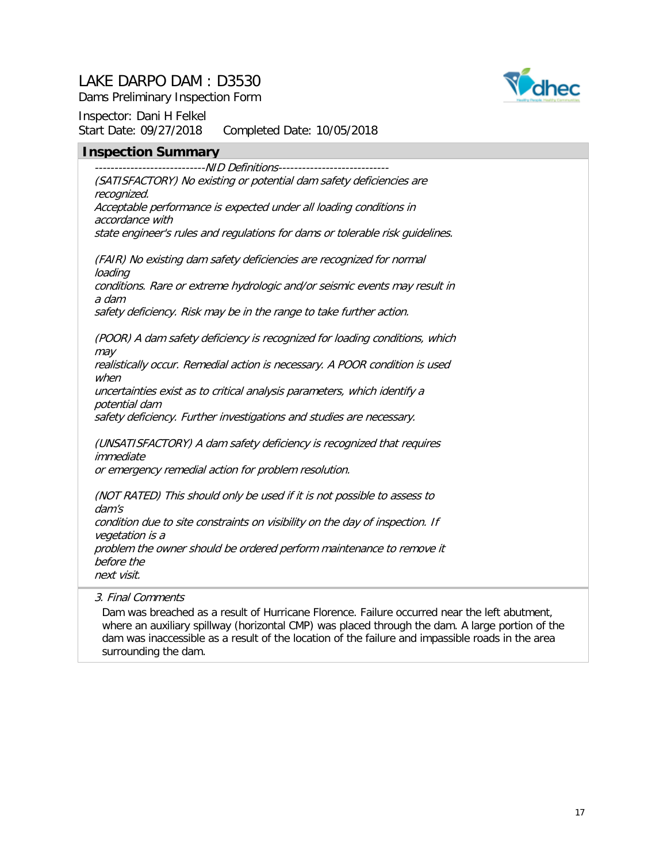

Dams Preliminary Inspection Form

Inspector: Dani H Felkel Start Date: 09/27/2018 Completed Date: 10/05/2018

#### **Inspection Summary**

----------------------------NID Definitions---------------------------- (SATISFACTORY) No existing or potential dam safety deficiencies are recognized. Acceptable performance is expected under all loading conditions in accordance with state engineer's rules and regulations for dams or tolerable risk guidelines.

(FAIR) No existing dam safety deficiencies are recognized for normal loading conditions. Rare or extreme hydrologic and/or seismic events may result in a dam safety deficiency. Risk may be in the range to take further action.

(POOR) A dam safety deficiency is recognized for loading conditions, which may

realistically occur. Remedial action is necessary. A POOR condition is used when

uncertainties exist as to critical analysis parameters, which identify a potential dam

safety deficiency. Further investigations and studies are necessary.

(UNSATISFACTORY) A dam safety deficiency is recognized that requires immediate

or emergency remedial action for problem resolution.

(NOT RATED) This should only be used if it is not possible to assess to dam's condition due to site constraints on visibility on the day of inspection. If vegetation is a problem the owner should be ordered perform maintenance to remove it before the next visit.

3. Final Comments

Dam was breached as a result of Hurricane Florence. Failure occurred near the left abutment, where an auxiliary spillway (horizontal CMP) was placed through the dam. A large portion of the dam was inaccessible as a result of the location of the failure and impassible roads in the area surrounding the dam.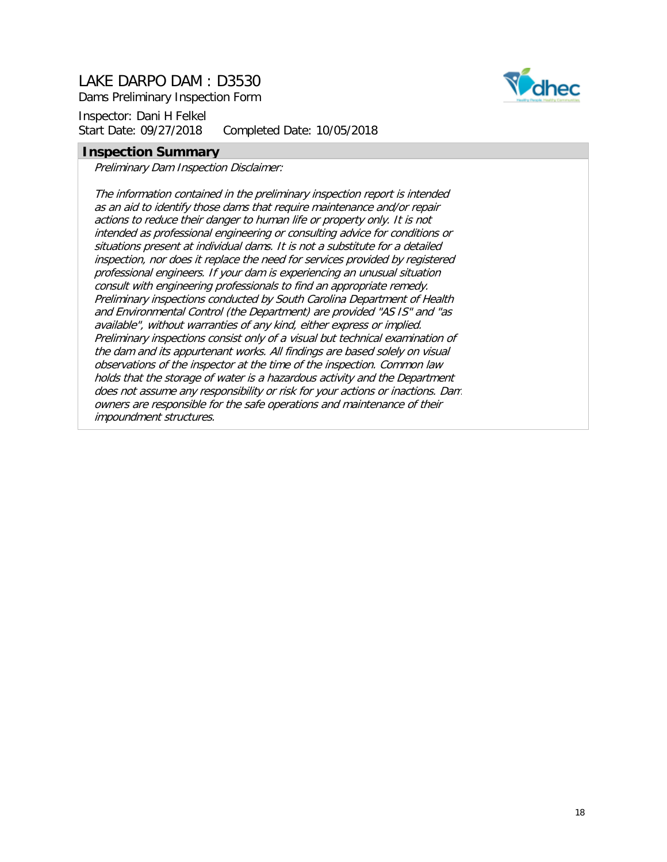Dams Preliminary Inspection Form

Inspector: Dani H Felkel Start Date: 09/27/2018 Completed Date: 10/05/2018

## dhec

#### **Inspection Summary**

Preliminary Dam Inspection Disclaimer:

The information contained in the preliminary inspection report is intended as an aid to identify those dams that require maintenance and/or repair actions to reduce their danger to human life or property only. It is not intended as professional engineering or consulting advice for conditions or situations present at individual dams. It is not a substitute for a detailed inspection, nor does it replace the need for services provided by registered professional engineers. If your dam is experiencing an unusual situation consult with engineering professionals to find an appropriate remedy. Preliminary inspections conducted by South Carolina Department of Health and Environmental Control (the Department) are provided "AS IS" and "as available", without warranties of any kind, either express or implied. Preliminary inspections consist only of a visual but technical examination of the dam and its appurtenant works. All findings are based solely on visual observations of the inspector at the time of the inspection. Common law holds that the storage of water is a hazardous activity and the Department does not assume any responsibility or risk for your actions or inactions. Dam owners are responsible for the safe operations and maintenance of their impoundment structures.